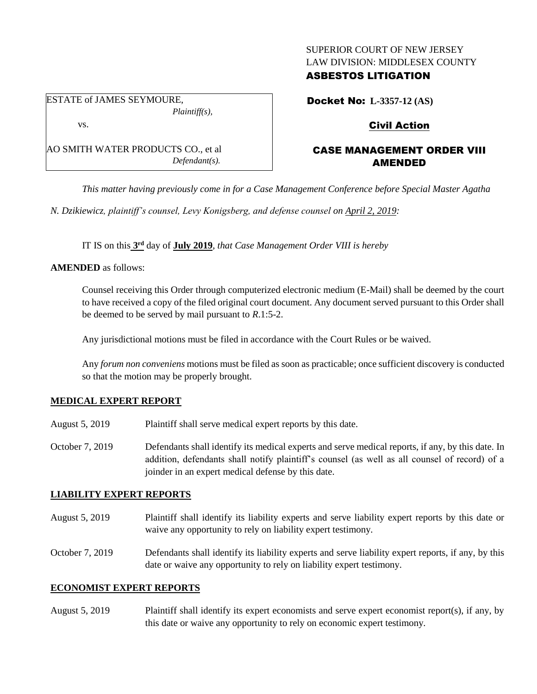## SUPERIOR COURT OF NEW JERSEY LAW DIVISION: MIDDLESEX COUNTY

### ASBESTOS LITIGATION

Docket No: **L-3357-12 (AS)**

Civil Action

# CASE MANAGEMENT ORDER VIII AMENDED

*This matter having previously come in for a Case Management Conference before Special Master Agatha* 

*N. Dzikiewicz, plaintiff's counsel, Levy Konigsberg, and defense counsel on April 2, 2019:*

IT IS on this **3 rd** day of **July 2019**, *that Case Management Order VIII is hereby*

**AMENDED** as follows:

Counsel receiving this Order through computerized electronic medium (E-Mail) shall be deemed by the court to have received a copy of the filed original court document. Any document served pursuant to this Order shall be deemed to be served by mail pursuant to *R*.1:5-2.

Any jurisdictional motions must be filed in accordance with the Court Rules or be waived.

Any *forum non conveniens* motions must be filed as soon as practicable; once sufficient discovery is conducted so that the motion may be properly brought.

### **MEDICAL EXPERT REPORT**

- August 5, 2019 Plaintiff shall serve medical expert reports by this date.
- October 7, 2019 Defendants shall identify its medical experts and serve medical reports, if any, by this date. In addition, defendants shall notify plaintiff's counsel (as well as all counsel of record) of a joinder in an expert medical defense by this date.

# **LIABILITY EXPERT REPORTS**

- August 5, 2019 Plaintiff shall identify its liability experts and serve liability expert reports by this date or waive any opportunity to rely on liability expert testimony.
- October 7, 2019 Defendants shall identify its liability experts and serve liability expert reports, if any, by this date or waive any opportunity to rely on liability expert testimony.

### **ECONOMIST EXPERT REPORTS**

August 5, 2019 Plaintiff shall identify its expert economists and serve expert economist report(s), if any, by this date or waive any opportunity to rely on economic expert testimony.

ESTATE of JAMES SEYMOURE, *Plaintiff(s),* vs.

AO SMITH WATER PRODUCTS CO., et al *Defendant(s).*